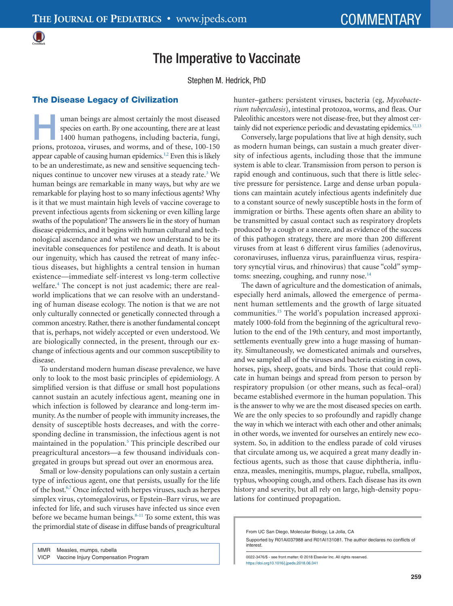# The Imperative to Vaccinate

#### Stephen M. Hedrick, PhD

#### The Disease Legacy of Civilization

uman beings are almost certainly the most diseased<br>species on earth. By one accounting, there are at least<br>1400 human pathogens, including bacteria, fungi,<br>priors, protozoa, viruses, and worms, and of these 100-150 species on earth. By one accounting, there are at least 1400 human pathogens, including bacteria, fungi, prions, protozoa, viruses, and worms, and of these, 100-150 appear capable of causing human epidemics.<sup>1,2</sup> Even this is likely to be an underestimate, as new and sensitive sequencing techniques continue to uncover new viruses at a steady rate[.3](#page-3-1) We human beings are remarkable in many ways, but why are we remarkable for playing host to so many infectious agents? Why is it that we must maintain high levels of vaccine coverage to prevent infectious agents from sickening or even killing large swaths of the population? The answers lie in the story of human disease epidemics, and it begins with human cultural and technological ascendance and what we now understand to be its inevitable consequences for pestilence and death. It is about our ingenuity, which has caused the retreat of many infectious diseases, but highlights a central tension in human existence—immediate self-interest vs long-term collective welfare.<sup>4</sup> The concept is not just academic; there are realworld implications that we can resolve with an understanding of human disease ecology. The notion is that we are not only culturally connected or genetically connected through a common ancestry. Rather, there is another fundamental concept that is, perhaps, not widely accepted or even understood. We are biologically connected, in the present, through our exchange of infectious agents and our common susceptibility to disease.

To understand modern human disease prevalence, we have only to look to the most basic principles of epidemiology. A simplified version is that diffuse or small host populations cannot sustain an acutely infectious agent, meaning one in which infection is followed by clearance and long-term immunity. As the number of people with immunity increases, the density of susceptible hosts decreases, and with the corresponding decline in transmission, the infectious agent is not maintained in the population.<sup>5</sup> This principle described our preagricultural ancestors—a few thousand individuals congregated in groups but spread out over an enormous area.

Small or low-density populations can only sustain a certain type of infectious agent, one that persists, usually for the life of the host[.6,7](#page-3-4) Once infected with herpes viruses, such as herpes simplex virus, cytomegalovirus, or Epstein–Barr virus, we are infected for life, and such viruses have infected us since even before we became human beings.<sup>8-11</sup> To some extent, this was the primordial state of disease in diffuse bands of preagricultural

MMR Measles, mumps, rubella VICP Vaccine Injury Compensation Program hunter–gathers: persistent viruses, bacteria (eg, *Mycobacterium tuberculosis*), intestinal protozoa, worms, and fleas. Our Paleolithic ancestors were not disease-free, but they almost certainly did not experience periodic and devastating epidemics.<sup>12,13</sup>

Conversely, large populations that live at high density, such as modern human beings, can sustain a much greater diversity of infectious agents, including those that the immune system is able to clear. Transmission from person to person is rapid enough and continuous, such that there is little selective pressure for persistence. Large and dense urban populations can maintain acutely infectious agents indefinitely due to a constant source of newly susceptible hosts in the form of immigration or births. These agents often share an ability to be transmitted by casual contact such as respiratory droplets produced by a cough or a sneeze, and as evidence of the success of this pathogen strategy, there are more than 200 different viruses from at least 6 different virus families (adenovirus, coronaviruses, influenza virus, parainfluenza virus, respiratory syncytial virus, and rhinovirus) that cause "cold" symptoms: sneezing, coughing, and runny nose. $14$ 

The dawn of agriculture and the domestication of animals, especially herd animals, allowed the emergence of permanent human settlements and the growth of large situated communities[.15](#page-4-3) The world's population increased approximately 1000-fold from the beginning of the agricultural revolution to the end of the 19th century, and most importantly, settlements eventually grew into a huge massing of humanity. Simultaneously, we domesticated animals and ourselves, and we sampled all of the viruses and bacteria existing in cows, horses, pigs, sheep, goats, and birds. Those that could replicate in human beings and spread from person to person by respiratory propulsion (or other means, such as fecal–oral) became established evermore in the human population. This is the answer to why we are the most diseased species on earth. We are the only species to so profoundly and rapidly change the way in which we interact with each other and other animals; in other words, we invented for ourselves an entirely new ecosystem. So, in addition to the endless parade of cold viruses that circulate among us, we acquired a great many deadly infectious agents, such as those that cause diphtheria, influenza, measles, meningitis, mumps, plague, rubella, smallpox, typhus, whooping cough, and others. Each disease has its own history and severity, but all rely on large, high-density populations for continued propagation.

From UC San Diego, Molecular Biology, La Jolla, CA Supported by R01AI037988 and R01AI131081. The author declares no conflicts of interest

0022-3476/\$ - see front matter. © 2018 Elsevier Inc. All rights reserved. https://doi.org10.1016/j.jpeds.2018.06.041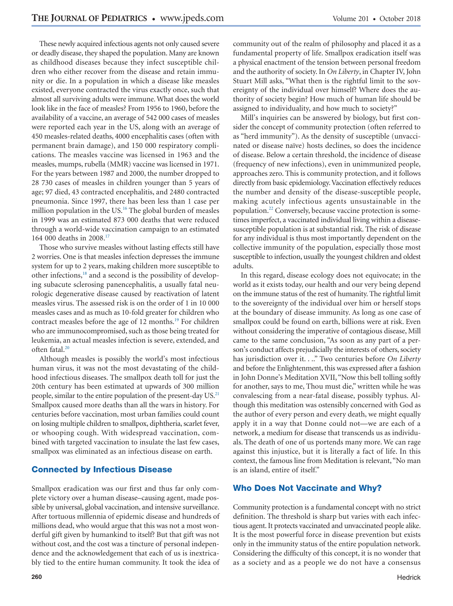These newly acquired infectious agents not only caused severe or deadly disease, they shaped the population. Many are known as childhood diseases because they infect susceptible children who either recover from the disease and retain immunity or die. In a population in which a disease like measles existed, everyone contracted the virus exactly once, such that almost all surviving adults were immune. What does the world look like in the face of measles? From 1956 to 1960, before the availability of a vaccine, an average of 542 000 cases of measles were reported each year in the US, along with an average of 450 measles-related deaths, 4000 encephalitis cases (often with permanent brain damage), and 150 000 respiratory complications. The measles vaccine was licensed in 1963 and the measles, mumps, rubella (MMR) vaccine was licensed in 1971. For the years between 1987 and 2000, the number dropped to 28 730 cases of measles in children younger than 5 years of age; 97 died, 43 contracted encephalitis, and 2480 contracted pneumonia. Since 1997, there has been less than 1 case per million population in the US.<sup>16</sup> The global burden of measles in 1999 was an estimated 873 000 deaths that were reduced through a world-wide vaccination campaign to an estimated 164 000 deaths in 2008[.17](#page-4-5)

Those who survive measles without lasting effects still have 2 worries. One is that measles infection depresses the immune system for up to 2 years, making children more susceptible to other infections,<sup>18</sup> and a second is the possibility of developing subacute sclerosing panencephalitis, a usually fatal neurologic degenerative disease caused by reactivation of latent measles virus. The assessed risk is on the order of 1 in 10 000 measles cases and as much as 10-fold greater for children who contract measles before the age of 12 months.<sup>19</sup> For children who are immunocompromised, such as those being treated for leukemia, an actual measles infection is severe, extended, and often fatal[.20](#page-4-8)

Although measles is possibly the world's most infectious human virus, it was not the most devastating of the childhood infectious diseases. The smallpox death toll for just the 20th century has been estimated at upwards of 300 million people, similar to the entire population of the present-day US.<sup>21</sup> Smallpox caused more deaths than all the wars in history. For centuries before vaccination, most urban families could count on losing multiple children to smallpox, diphtheria, scarlet fever, or whooping cough. With widespread vaccination, combined with targeted vaccination to insulate the last few cases, smallpox was eliminated as an infectious disease on earth.

## Connected by Infectious Disease

Smallpox eradication was our first and thus far only complete victory over a human disease–causing agent, made possible by universal, global vaccination, and intensive surveillance. After tortuous millennia of epidemic disease and hundreds of millions dead, who would argue that this was not a most wonderful gift given by humankind to itself? But that gift was not without cost, and the cost was a tincture of personal independence and the acknowledgement that each of us is inextricably tied to the entire human community. It took the idea of community out of the realm of philosophy and placed it as a fundamental property of life. Smallpox eradication itself was a physical enactment of the tension between personal freedom and the authority of society. In *On Liberty*, in Chapter IV, John Stuart Mill asks, "What then is the rightful limit to the sovereignty of the individual over himself? Where does the authority of society begin? How much of human life should be assigned to individuality, and how much to society?"

Mill's inquiries can be answered by biology, but first consider the concept of community protection (often referred to as "herd immunity"). As the density of susceptible (unvaccinated or disease naïve) hosts declines, so does the incidence of disease. Below a certain threshold, the incidence of disease (frequency of new infections), even in unimmunized people, approaches zero. This is community protection, and it follows directly from basic epidemiology. Vaccination effectively reduces the number and density of the disease-susceptible people, making acutely infectious agents unsustainable in the population[.22](#page-4-10) Conversely, because vaccine protection is sometimes imperfect, a vaccinated individual living within a diseasesusceptible population is at substantial risk. The risk of disease for any individual is thus most importantly dependent on the collective immunity of the population, especially those most susceptible to infection, usually the youngest children and oldest adults.

In this regard, disease ecology does not equivocate; in the world as it exists today, our health and our very being depend on the immune status of the rest of humanity. The rightful limit to the sovereignty of the individual over him or herself stops at the boundary of disease immunity. As long as one case of smallpox could be found on earth, billions were at risk. Even without considering the imperative of contagious disease, Mill came to the same conclusion, "As soon as any part of a person's conduct affects prejudicially the interests of others, society has jurisdiction over it. . .." Two centuries before *On Liberty* and before the Enlightenment, this was expressed after a fashion in John Donne's Meditation XVII, "Now this bell tolling softly for another, says to me, Thou must die," written while he was convalescing from a near-fatal disease, possibly typhus. Although this meditation was ostensibly concerned with God as the author of every person and every death, we might equally apply it in a way that Donne could not—we are each of a network, a medium for disease that transcends us as individuals. The death of one of us portends many more. We can rage against this injustice, but it is literally a fact of life. In this context, the famous line from Meditation is relevant, "No man is an island, entire of itself."

## Who Does Not Vaccinate and Why?

Community protection is a fundamental concept with no strict definition. The threshold is sharp but varies with each infectious agent. It protects vaccinated and unvaccinated people alike. It is the most powerful force in disease prevention but exists only in the immunity status of the entire population network. Considering the difficulty of this concept, it is no wonder that as a society and as a people we do not have a consensus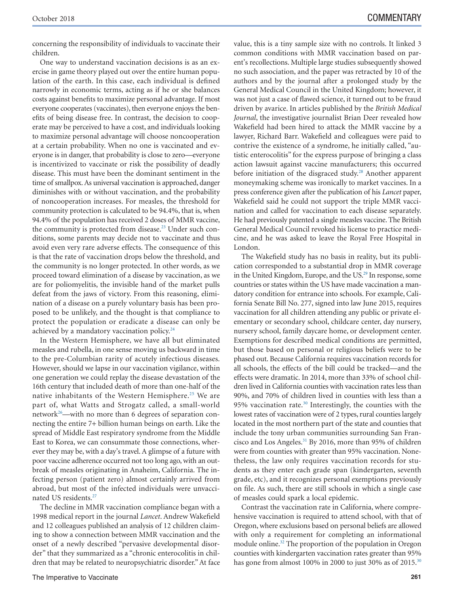concerning the responsibility of individuals to vaccinate their children.

One way to understand vaccination decisions is as an exercise in game theory played out over the entire human population of the earth. In this case, each individual is defined narrowly in economic terms, acting as if he or she balances costs against benefits to maximize personal advantage. If most everyone cooperates (vaccinates), then everyone enjoys the benefits of being disease free. In contrast, the decision to cooperate may be perceived to have a cost, and individuals looking to maximize personal advantage will choose noncooperation at a certain probability. When no one is vaccinated and everyone is in danger, that probability is close to zero—everyone is incentivized to vaccinate or risk the possibility of deadly disease. This must have been the dominant sentiment in the time of smallpox. As universal vaccination is approached, danger diminishes with or without vaccination, and the probability of noncooperation increases. For measles, the threshold for community protection is calculated to be 94.4%, that is, when 94.4% of the population has received 2 doses of MMR vaccine, the community is protected from disease.<sup>23</sup> Under such conditions, some parents may decide not to vaccinate and thus avoid even very rare adverse effects. The consequence of this is that the rate of vaccination drops below the threshold, and the community is no longer protected. In other words, as we proceed toward elimination of a disease by vaccination, as we are for poliomyelitis, the invisible hand of the market pulls defeat from the jaws of victory. From this reasoning, elimination of a disease on a purely voluntary basis has been proposed to be unlikely, and the thought is that compliance to protect the population or eradicate a disease can only be achieved by a mandatory vaccination policy.<sup>24</sup>

In the Western Hemisphere, we have all but eliminated measles and rubella, in one sense moving us backward in time to the pre-Columbian rarity of acutely infectious diseases. However, should we lapse in our vaccination vigilance, within one generation we could replay the disease devastation of the 16th century that included death of more than one-half of the native inhabitants of the Western Hemisphere.<sup>25</sup> We are part of, what Watts and Strogatz called, a small-world network<sup>26</sup>—with no more than 6 degrees of separation connecting the entire 7+ billion human beings on earth. Like the spread of Middle East respiratory syndrome from the Middle East to Korea, we can consummate those connections, wherever they may be, with a day's travel. A glimpse of a future with poor vaccine adherence occurred not too long ago, with an outbreak of measles originating in Anaheim, California. The infecting person (patient zero) almost certainly arrived from abroad, but most of the infected individuals were unvaccinated US residents.<sup>27</sup>

The decline in MMR vaccination compliance began with a 1998 medical report in the journal *Lancet*. Andrew Wakefield and 12 colleagues published an analysis of 12 children claiming to show a connection between MMR vaccination and the onset of a newly described "pervasive developmental disorder" that they summarized as a "chronic enterocolitis in children that may be related to neuropsychiatric disorder." At face

value, this is a tiny sample size with no controls. It linked 3 common conditions with MMR vaccination based on parent's recollections. Multiple large studies subsequently showed no such association, and the paper was retracted by 10 of the authors and by the journal after a prolonged study by the General Medical Council in the United Kingdom; however, it was not just a case of flawed science, it turned out to be fraud driven by avarice. In articles published by the *British Medical Journal*, the investigative journalist Brian Deer revealed how Wakefield had been hired to attack the MMR vaccine by a lawyer, Richard Barr. Wakefield and colleagues were paid to contrive the existence of a syndrome, he initially called, "autistic enterocolitis" for the express purpose of bringing a class action lawsuit against vaccine manufacturers; this occurred before initiation of the disgraced study.<sup>28</sup> Another apparent moneymaking scheme was ironically to market vaccines. In a press conference given after the publication of his *Lancet* paper, Wakefield said he could not support the triple MMR vaccination and called for vaccination to each disease separately. He had previously patented a single measles vaccine. The British General Medical Council revoked his license to practice medicine, and he was asked to leave the Royal Free Hospital in London.

The Wakefield study has no basis in reality, but its publication corresponded to a substantial drop in MMR coverage in the United Kingdom, Europe, and the US.<sup>29</sup> In response, some countries or states within the US have made vaccination a mandatory condition for entrance into schools. For example, California Senate Bill No. 277, signed into law June 2015, requires vaccination for all children attending any public or private elementary or secondary school, childcare center, day nursery, nursery school, family daycare home, or development center. Exemptions for described medical conditions are permitted, but those based on personal or religious beliefs were to be phased out. Because California requires vaccination records for all schools, the effects of the bill could be tracked—and the effects were dramatic. In 2014, more than 33% of school children lived in California counties with vaccination rates less than 90%, and 70% of children lived in counties with less than a 95% vaccination rate.<sup>30</sup> Interestingly, the counties with the lowest rates of vaccination were of 2 types, rural counties largely located in the most northern part of the state and counties that include the tony urban communities surrounding San Francisco and Los Angeles.<sup>31</sup> By 2016, more than 95% of children were from counties with greater than 95% vaccination. Nonetheless, the law only requires vaccination records for students as they enter each grade span (kindergarten, seventh grade, etc), and it recognizes personal exemptions previously on file. As such, there are still schools in which a single case of measles could spark a local epidemic.

Contrast the vaccination rate in California, where comprehensive vaccination is required to attend school, with that of Oregon, where exclusions based on personal beliefs are allowed with only a requirement for completing an informational module online.<sup>32</sup> The proportion of the population in Oregon counties with kindergarten vaccination rates greater than 95% has gone from almost 100% in 2000 to just 30% as of 2015.<sup>30</sup>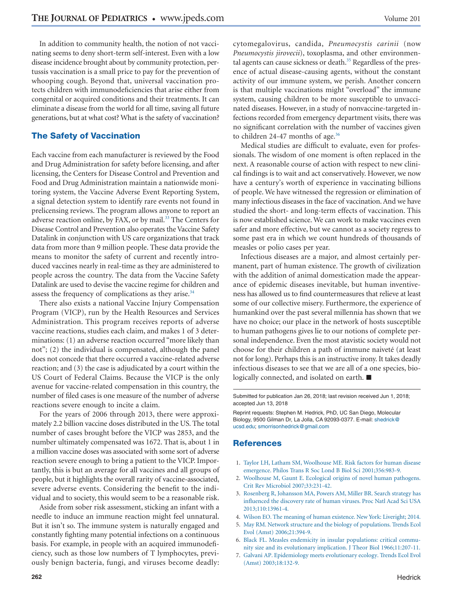In addition to community health, the notion of not vaccinating seems to deny short-term self-interest. Even with a low disease incidence brought about by community protection, pertussis vaccination is a small price to pay for the prevention of whooping cough. Beyond that, universal vaccination protects children with immunodeficiencies that arise either from congenital or acquired conditions and their treatments. It can eliminate a disease from the world for all time, saving all future generations, but at what cost? What is the safety of vaccination?

### The Safety of Vaccination

Each vaccine from each manufacturer is reviewed by the Food and Drug Administration for safety before licensing, and after licensing, the Centers for Disease Control and Prevention and Food and Drug Administration maintain a nationwide monitoring system, the Vaccine Adverse Event Reporting System, a signal detection system to identify rare events not found in prelicensing reviews. The program allows anyone to report an adverse reaction online, by FAX, or by mail.<sup>33</sup> The Centers for Disease Control and Prevention also operates the Vaccine Safety Datalink in conjunction with US care organizations that track data from more than 9 million people. These data provide the means to monitor the safety of current and recently introduced vaccines nearly in real-time as they are administered to people across the country. The data from the Vaccine Safety Datalink are used to devise the vaccine regime for children and assess the frequency of complications as they arise. $34$ 

There also exists a national Vaccine Injury Compensation Program (VICP), run by the Health Resources and Services Administration. This program receives reports of adverse vaccine reactions, studies each claim, and makes 1 of 3 determinations: (1) an adverse reaction occurred "more likely than not"; (2) the individual is compensated, although the panel does not concede that there occurred a vaccine-related adverse reaction; and (3) the case is adjudicated by a court within the US Court of Federal Claims. Because the VICP is the only avenue for vaccine-related compensation in this country, the number of filed cases is one measure of the number of adverse reactions severe enough to incite a claim.

For the years of 2006 through 2013, there were approximately 2.2 billion vaccine doses distributed in the US. The total number of cases brought before the VICP was 2853, and the number ultimately compensated was 1672. That is, about 1 in a million vaccine doses was associated with some sort of adverse reaction severe enough to bring a patient to the VICP. Importantly, this is but an average for all vaccines and all groups of people, but it highlights the overall rarity of vaccine-associated, severe adverse events. Considering the benefit to the individual and to society, this would seem to be a reasonable risk.

Aside from sober risk assessment, sticking an infant with a needle to induce an immune reaction might feel unnatural. But it isn't so. The immune system is naturally engaged and constantly fighting many potential infections on a continuous basis. For example, in people with an acquired immunodeficiency, such as those low numbers of T lymphocytes, previously benign bacteria, fungi, and viruses become deadly:

cytomegalovirus, candida, *Pneumocystis carinii* (now *Pneumocystis jirovecii*), toxoplasma, and other environmental agents can cause sickness or death.<sup>35</sup> Regardless of the presence of actual disease-causing agents, without the constant activity of our immune system, we perish. Another concern is that multiple vaccinations might "overload" the immune system, causing children to be more susceptible to unvaccinated diseases. However, in a study of nonvaccine-targeted infections recorded from emergency department visits, there was no significant correlation with the number of vaccines given to children 24-47 months of age.<sup>36</sup>

Medical studies are difficult to evaluate, even for professionals. The wisdom of one moment is often replaced in the next. A reasonable course of action with respect to new clinical findings is to wait and act conservatively. However, we now have a century's worth of experience in vaccinating billions of people. We have witnessed the regression or elimination of many infectious diseases in the face of vaccination. And we have studied the short- and long-term effects of vaccination. This is now established science. We can work to make vaccines even safer and more effective, but we cannot as a society regress to some past era in which we count hundreds of thousands of measles or polio cases per year.

Infectious diseases are a major, and almost certainly permanent, part of human existence. The growth of civilization with the addition of animal domestication made the appearance of epidemic diseases inevitable, but human inventiveness has allowed us to find countermeasures that relieve at least some of our collective misery. Furthermore, the experience of humankind over the past several millennia has shown that we have no choice; our place in the network of hosts susceptible to human pathogens gives lie to our notions of complete personal independence. Even the most atavistic society would not choose for their children a path of immune naiveté (at least not for long). Perhaps this is an instructive irony. It takes deadly infectious diseases to see that we are all of a one species, biologically connected, and isolated on earth. ■

Submitted for publication Jan 26, 2018; last revision received Jun 1, 2018; accepted Jun 13, 2018

Reprint requests: Stephen M. Hedrick, PhD, UC San Diego, Molecular Biology, 9500 Gilman Dr, La Jolla, CA 92093-0377. E-mail: [shedrick@](mailto:shedrick@ucsd.edu) [ucsd.edu;](mailto:shedrick@ucsd.edu) [smorrisonhedrick@gmail.com](mailto:smorrisonhedrick@gmail.com)

#### References

- <span id="page-3-0"></span>1. [Taylor LH, Latham SM, Woolhouse ME. Risk factors for human disease](http://refhub.elsevier.com/S0022-3476(18)30866-7/sr0010) [emergence. Philos Trans R Soc Lond B Biol Sci 2001;356:983-9.](http://refhub.elsevier.com/S0022-3476(18)30866-7/sr0010)
- 2. [Woolhouse M, Gaunt E. Ecological origins of novel human pathogens.](http://refhub.elsevier.com/S0022-3476(18)30866-7/sr0015) [Crit Rev Microbiol 2007;33:231-42.](http://refhub.elsevier.com/S0022-3476(18)30866-7/sr0015)
- <span id="page-3-1"></span>3. [Rosenberg R, Johansson MA, Powers AM, Miller BR. Search strategy has](http://refhub.elsevier.com/S0022-3476(18)30866-7/sr0020) [influenced the discovery rate of human viruses. Proc Natl Acad Sci USA](http://refhub.elsevier.com/S0022-3476(18)30866-7/sr0020) [2013;110:13961-4.](http://refhub.elsevier.com/S0022-3476(18)30866-7/sr0020)
- <span id="page-3-3"></span><span id="page-3-2"></span>4. [Wilson EO. The meaning of human existence. New York: Liveright; 2014.](http://refhub.elsevier.com/S0022-3476(18)30866-7/sr0025)
- 5. [May RM. Network structure and the biology of populations. Trends Ecol](http://refhub.elsevier.com/S0022-3476(18)30866-7/sr0030) [Evol \(Amst\) 2006;21:394-9.](http://refhub.elsevier.com/S0022-3476(18)30866-7/sr0030)
- <span id="page-3-4"></span>6. [Black FL. Measles endemicity in insular populations: critical commu](http://refhub.elsevier.com/S0022-3476(18)30866-7/sr0035)[nity size and its evolutionary implication. J Theor Biol 1966;11:207-11.](http://refhub.elsevier.com/S0022-3476(18)30866-7/sr0035)
- 7. [Galvani AP. Epidemiology meets evolutionary ecology. Trends Ecol Evol](http://refhub.elsevier.com/S0022-3476(18)30866-7/sr0040) [\(Amst\) 2003;18:132-9.](http://refhub.elsevier.com/S0022-3476(18)30866-7/sr0040)